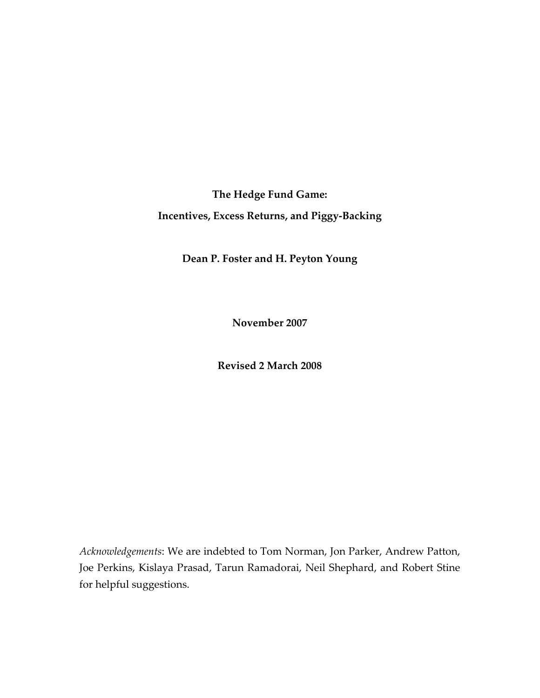**The Hedge Fund Game: Incentives, Excess Returns, and Piggy‐Backing**

**Dean P. Foster and H. Peyton Young**

**November 2007**

**Revised 2 March 2008**

*Acknowledgements*: We are indebted to Tom Norman, Jon Parker, Andrew Patton, Joe Perkins, Kislaya Prasad, Tarun Ramadorai, Neil Shephard, and Robert Stine for helpful suggestions.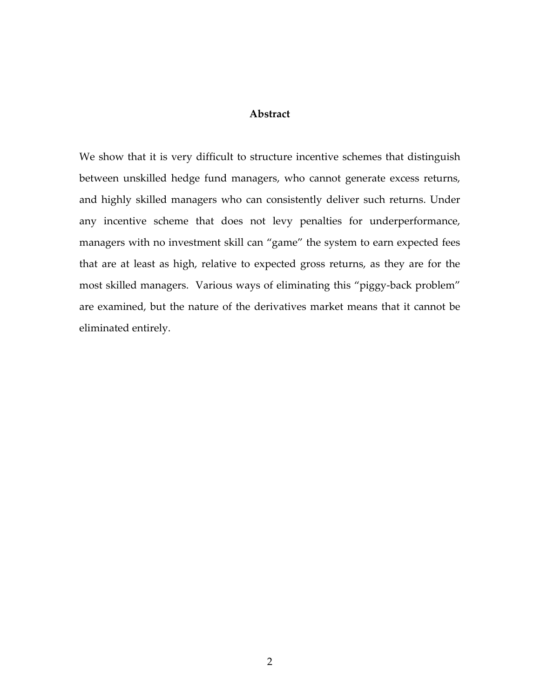# **Abstract**

We show that it is very difficult to structure incentive schemes that distinguish between unskilled hedge fund managers, who cannot generate excess returns, and highly skilled managers who can consistently deliver such returns. Under any incentive scheme that does not levy penalties for underperformance, managers with no investment skill can "game" the system to earn expected fees that are at least as high, relative to expected gross returns, as they are for the most skilled managers. Various ways of eliminating this "piggy-back problem" are examined, but the nature of the derivatives market means that it cannot be eliminated entirely.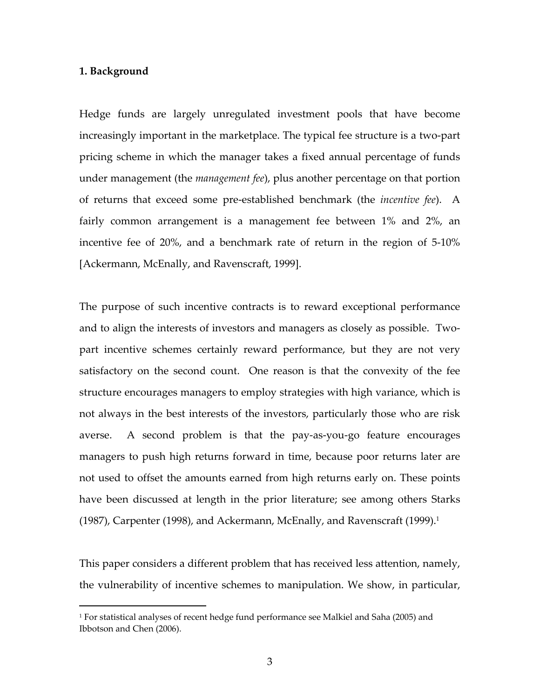## **1. Background**

1

Hedge funds are largely unregulated investment pools that have become increasingly important in the marketplace. The typical fee structure is a two-part pricing scheme in which the manager takes a fixed annual percentage of funds under management (the *management fee*), plus another percentage on that portion of returns that exceed some pre‐established benchmark (the *incentive fee*). A fairly common arrangement is a management fee between 1% and 2%, an incentive fee of 20%, and a benchmark rate of return in the region of 5‐10% [Ackermann, McEnally, and Ravenscraft, 1999].

The purpose of such incentive contracts is to reward exceptional performance and to align the interests of investors and managers as closely as possible. Twopart incentive schemes certainly reward performance, but they are not very satisfactory on the second count. One reason is that the convexity of the fee structure encourages managers to employ strategies with high variance, which is not always in the best interests of the investors, particularly those who are risk averse. A second problem is that the pay-as-you-go feature encourages managers to push high returns forward in time, because poor returns later are not used to offset the amounts earned from high returns early on. These points have been discussed at length in the prior literature; see among others Starks (1987), Carpenter (1998), and Ackermann, McEnally, and Ravenscraft (1999).<sup>1</sup>

This paper considers a different problem that has received less attention, namely, the vulnerability of incentive schemes to manipulation. We show, in particular,

<sup>1</sup> For statistical analyses of recent hedge fund performance see Malkiel and Saha (2005) and Ibbotson and Chen (2006).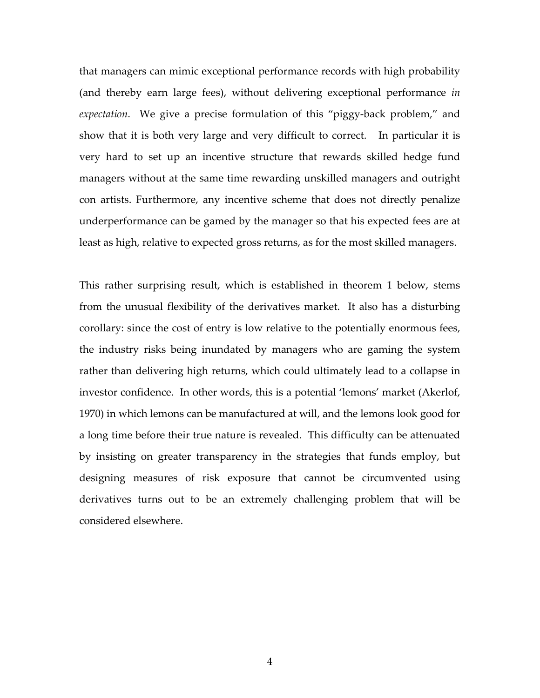that managers can mimic exceptional performance records with high probability (and thereby earn large fees), without delivering exceptional performance *in expectation*. We give a precise formulation of this "piggy‐back problem," and show that it is both very large and very difficult to correct. In particular it is very hard to set up an incentive structure that rewards skilled hedge fund managers without at the same time rewarding unskilled managers and outright con artists. Furthermore, any incentive scheme that does not directly penalize underperformance can be gamed by the manager so that his expected fees are at least as high, relative to expected gross returns, as for the most skilled managers.

This rather surprising result, which is established in theorem 1 below, stems from the unusual flexibility of the derivatives market. It also has a disturbing corollary: since the cost of entry is low relative to the potentially enormous fees, the industry risks being inundated by managers who are gaming the system rather than delivering high returns, which could ultimately lead to a collapse in investor confidence. In other words, this is a potential 'lemons' market (Akerlof, 1970) in which lemons can be manufactured at will, and the lemons look good for a long time before their true nature is revealed. This difficulty can be attenuated by insisting on greater transparency in the strategies that funds employ, but designing measures of risk exposure that cannot be circumvented using derivatives turns out to be an extremely challenging problem that will be considered elsewhere.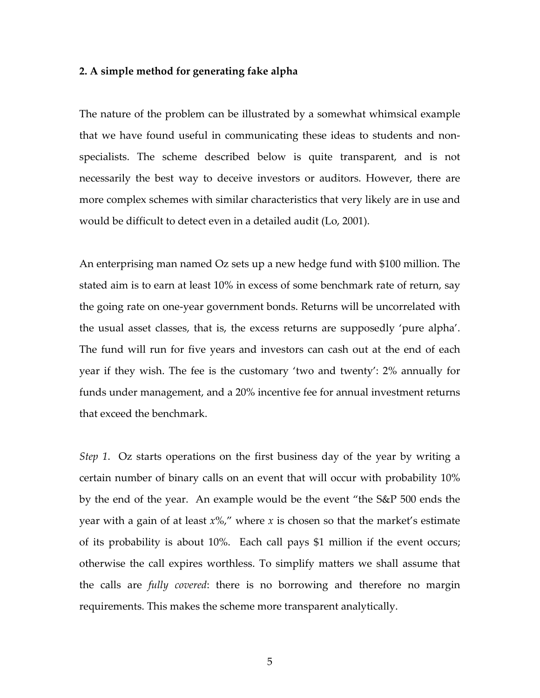## **2. A simple method for generating fake alpha**

The nature of the problem can be illustrated by a somewhat whimsical example that we have found useful in communicating these ideas to students and non‐ specialists. The scheme described below is quite transparent, and is not necessarily the best way to deceive investors or auditors. However, there are more complex schemes with similar characteristics that very likely are in use and would be difficult to detect even in a detailed audit (Lo, 2001).

An enterprising man named Oz sets up a new hedge fund with \$100 million. The stated aim is to earn at least 10% in excess of some benchmark rate of return, say the going rate on one‐year government bonds. Returns will be uncorrelated with the usual asset classes, that is, the excess returns are supposedly 'pure alpha'. The fund will run for five years and investors can cash out at the end of each year if they wish. The fee is the customary 'two and twenty': 2% annually for funds under management, and a 20% incentive fee for annual investment returns that exceed the benchmark.

*Step 1*. Oz starts operations on the first business day of the year by writing a certain number of binary calls on an event that will occur with probability 10% by the end of the year. An example would be the event "the S&P 500 ends the year with a gain of at least *x*%," where *x* is chosen so that the market's estimate of its probability is about 10%. Each call pays \$1 million if the event occurs; otherwise the call expires worthless. To simplify matters we shall assume that the calls are *fully covered*: there is no borrowing and therefore no margin requirements. This makes the scheme more transparent analytically.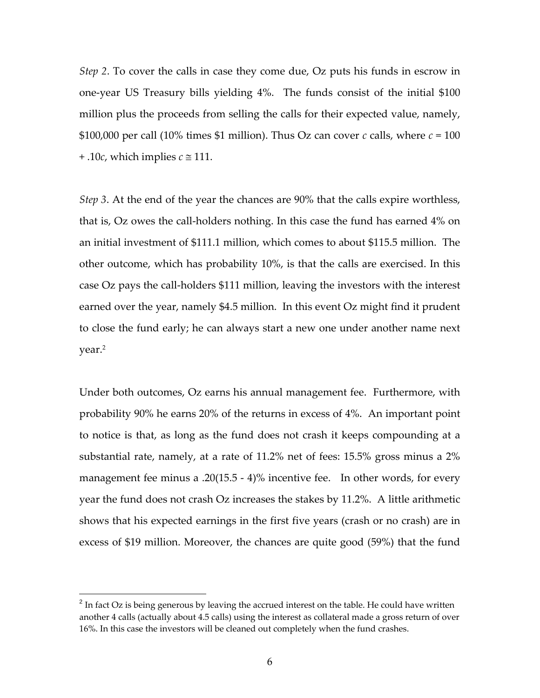*Step 2*. To cover the calls in case they come due, Oz puts his funds in escrow in one-year US Treasury bills yielding 4%. The funds consist of the initial \$100 million plus the proceeds from selling the calls for their expected value, namely, \$100,000 per call (10% times \$1 million). Thus Oz can cover  $c$  calls, where  $c = 100$ + .10*c*, which implies  $c \approx 111$ .

*Step 3*. At the end of the year the chances are 90% that the calls expire worthless, that is, Oz owes the call‐holders nothing. In this case the fund has earned 4% on an initial investment of \$111.1 million, which comes to about \$115.5 million. The other outcome, which has probability 10%, is that the calls are exercised. In this case Oz pays the call‐holders \$111 million, leaving the investors with the interest earned over the year, namely \$4.5 million. In this event Oz might find it prudent to close the fund early; he can always start a new one under another name next year.2

Under both outcomes, Oz earns his annual management fee. Furthermore, with probability 90% he earns 20% of the returns in excess of 4%. An important point to notice is that, as long as the fund does not crash it keeps compounding at a substantial rate, namely, at a rate of 11.2% net of fees: 15.5% gross minus a 2% management fee minus a .20(15.5 - 4)% incentive fee. In other words, for every year the fund does not crash Oz increases the stakes by 11.2%. A little arithmetic shows that his expected earnings in the first five years (crash or no crash) are in excess of \$19 million. Moreover, the chances are quite good (59%) that the fund

1

 $2^{2}$  In fact Oz is being generous by leaving the accrued interest on the table. He could have written another 4 calls (actually about 4.5 calls) using the interest as collateral made a gross return of over 16%. In this case the investors will be cleaned out completely when the fund crashes.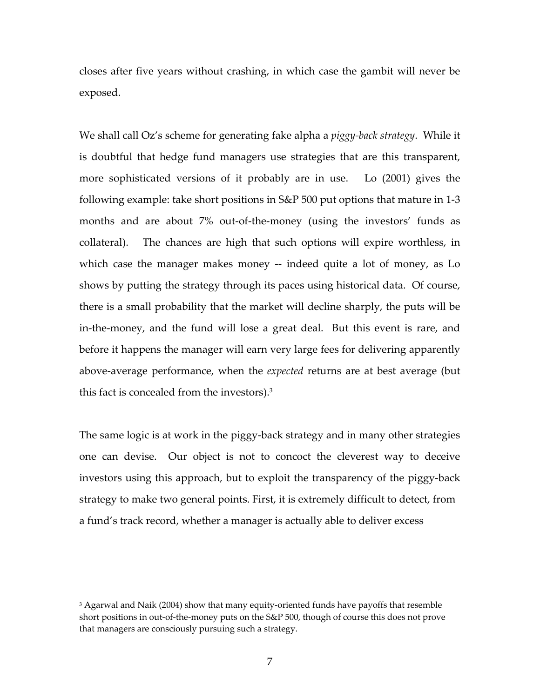closes after five years without crashing, in which case the gambit will never be exposed.

We shall call Oz's scheme for generating fake alpha a *piggy‐back strategy*. While it is doubtful that hedge fund managers use strategies that are this transparent, more sophisticated versions of it probably are in use. Lo (2001) gives the following example: take short positions in S&P 500 put options that mature in 1‐3 months and are about 7% out‐of‐the‐money (using the investors' funds as collateral). The chances are high that such options will expire worthless, in which case the manager makes money -- indeed quite a lot of money, as Lo shows by putting the strategy through its paces using historical data. Of course, there is a small probability that the market will decline sharply, the puts will be in-the-money, and the fund will lose a great deal. But this event is rare, and before it happens the manager will earn very large fees for delivering apparently above‐average performance, when the *expected* returns are at best average (but this fact is concealed from the investors).3

The same logic is at work in the piggy‐back strategy and in many other strategies one can devise. Our object is not to concoct the cleverest way to deceive investors using this approach, but to exploit the transparency of the piggy‐back strategy to make two general points. First, it is extremely difficult to detect, from a fund's track record, whether a manager is actually able to deliver excess

1

<sup>&</sup>lt;sup>3</sup> Agarwal and Naik (2004) show that many equity-oriented funds have payoffs that resemble short positions in out-of-the-money puts on the S&P 500, though of course this does not prove that managers are consciously pursuing such a strategy.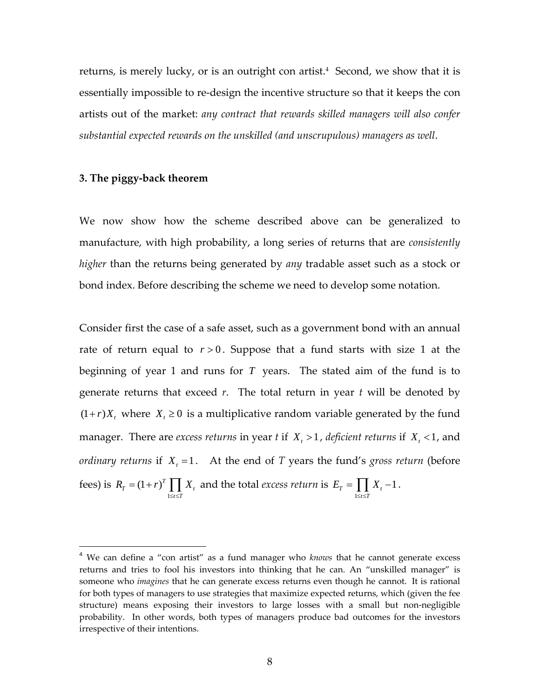returns, is merely lucky, or is an outright con artist.<sup>4</sup> Second, we show that it is essentially impossible to re‐design the incentive structure so that it keeps the con artists out of the market: *any contract that rewards skilled managers will also confer substantial expected rewards on the unskilled (and unscrupulous) managers as well*.

### **3. The piggy‐back theorem**

 $\overline{a}$ 

We now show how the scheme described above can be generalized to manufacture, with high probability, a long series of returns that are *consistently higher* than the returns being generated by *any* tradable asset such as a stock or bond index. Before describing the scheme we need to develop some notation.

Consider first the case of a safe asset, such as a government bond with an annual rate of return equal to  $r > 0$ . Suppose that a fund starts with size 1 at the beginning of year 1 and runs for *T* years. The stated aim of the fund is to generate returns that exceed *r*. The total return in year *t* will be denoted by  $(1 + r)X_t$ , where  $X_t \geq 0$  is a multiplicative random variable generated by the fund manager. There are *excess returns* in year *t* if  $X_t > 1$ , deficient *returns* if  $X_t < 1$ , and *ordinary returns* if  $X_t = 1$ . At the end of *T* years the fund's *gross return* (before fees) is 1  $Y_T = (1 + r)^T \prod X_t$  $t \leq T$  $R_r = (1+r)^T \prod X$  $=(1+r)^T \prod_{1 \leq t \leq T} X_t$  and the total *excess return* is  $E_T = \frac{1}{16}$  $Y_T = \prod X_t - 1$  $t \leq T$  $E_{\tau} = \prod X$  $=\prod_{1\leq t\leq T} X_t - 1$ .

<sup>4</sup> We can define a "con artist" as a fund manager who *knows* that he cannot generate excess returns and tries to fool his investors into thinking that he can. An "unskilled manager" is someone who *imagines* that he can generate excess returns even though he cannot. It is rational for both types of managers to use strategies that maximize expected returns, which (given the fee structure) means exposing their investors to large losses with a small but non-negligible probability. In other words, both types of managers produce bad outcomes for the investors irrespective of their intentions.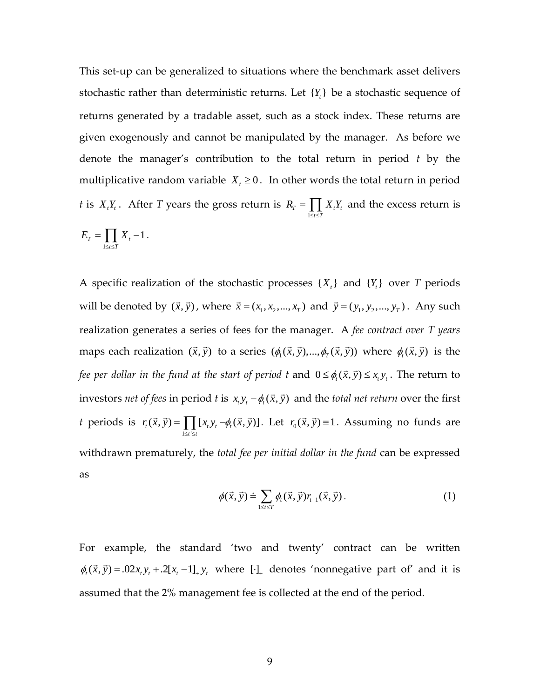This set-up can be generalized to situations where the benchmark asset delivers stochastic rather than deterministic returns. Let  ${Y<sub>i</sub>}$  be a stochastic sequence of returns generated by a tradable asset, such as a stock index. These returns are given exogenously and cannot be manipulated by the manager. As before we denote the manager's contribution to the total return in period *t* by the multiplicative random variable  $X_t \geq 0$ . In other words the total return in period *t* is  $X_t Y_t$ . After *T* years the gross return is 1  $T = \prod \mathbf{\Lambda}_t \mathbf{I}_t$  $t \leq T$  $R_{\scriptscriptstyle T} = \prod X_{\scriptscriptstyle T} Y_{\scriptscriptstyle T}$  $=\prod_{1\leq t\leq T}X_{t}Y_{t}$  and the excess return is

$$
E_T = \prod_{1 \le t \le T} X_t - 1.
$$

A specific realization of the stochastic processes  $\{X_t\}$  and  $\{Y_t\}$  over *T* periods will be denoted by  $(\vec{x}, \vec{y})$ , where  $\vec{x} = (x_1, x_2, ..., x_T)$  and  $\vec{y} = (y_1, y_2, ..., y_T)$ . Any such realization generates a series of fees for the manager. A *fee contract over T years* maps each realization  $(\vec{x}, \vec{y})$  to a series  $(\phi_1(\vec{x}, \vec{y}), ..., \phi_r(\vec{x}, \vec{y}))$  where  $\phi_t(\vec{x}, \vec{y})$  is the *fee per dollar in the fund at the start of period t and*  $0 \le \phi_i(\vec{x}, \vec{y}) \le x, y$ . The return to investors *net of fees* in period *t* is  $x_t y_t - \phi_t(\vec{x}, \vec{y})$  and the *total net return* over the first *t* periods is  $1 \leq t$  $f_t(\vec{x}, \vec{y}) = \prod [x_t y_t - \phi_t(\vec{x}, \vec{y})]$  $t' \leq t$  $r_t(\vec{x}, \vec{y}) = \prod (x, y, -\phi_t(\vec{x}, \vec{y}))$  $(\vec{x}, \vec{y}) = \prod_{1 \le i \le t} [x_i y_i - \phi_i(\vec{x}, \vec{y})]$ . Let  $r_0(\vec{x}, \vec{y}) = 1$ . Assuming no funds are withdrawn prematurely, the *total fee per initial dollar in the fund* can be expressed as

$$
\phi(\vec{x}, \vec{y}) \doteq \sum_{1 \leq t \leq T} \phi_t(\vec{x}, \vec{y}) r_{t-1}(\vec{x}, \vec{y}). \tag{1}
$$

For example, the standard 'two and twenty' contract can be written  $\phi_t(\vec{x}, \vec{y}) = .02x_t y_t + .2[x_t - 1]_+ y_t$  where  $[\cdot]_+$  denotes 'nonnegative part of' and it is assumed that the 2% management fee is collected at the end of the period.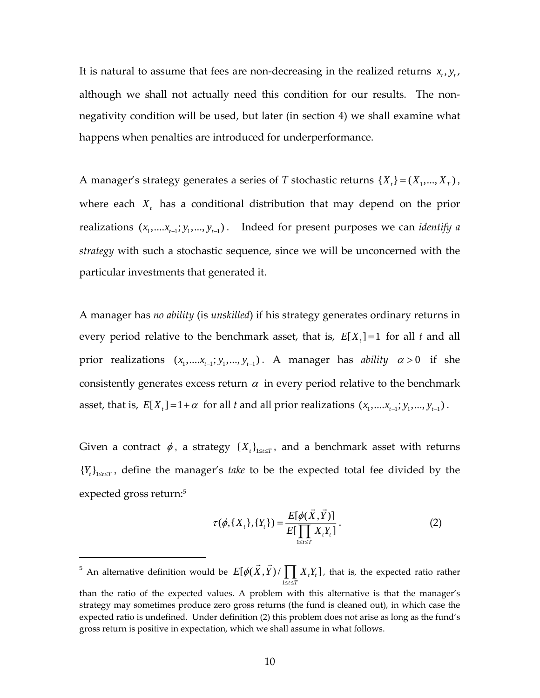It is natural to assume that fees are non-decreasing in the realized returns  $x_t$ ,  $y_t$ , although we shall not actually need this condition for our results. The nonnegativity condition will be used, but later (in section 4) we shall examine what happens when penalties are introduced for underperformance.

A manager's strategy generates a series of *T* stochastic returns  $\{X_t\} = (X_1, ..., X_T)$ , where each  $X_t$ , has a conditional distribution that may depend on the prior realizations  $(x_1, \ldots, x_{t-1}; y_1, \ldots, y_{t-1})$ . Indeed for present purposes we can *identify a strategy* with such a stochastic sequence, since we will be unconcerned with the particular investments that generated it.

A manager has *no ability* (is *unskilled*) if his strategy generates ordinary returns in every period relative to the benchmark asset, that is,  $E[X_t] = 1$  for all t and all prior realizations  $(x_1, \ldots, x_{t-1}; y_1, \ldots, y_{t-1})$ . A manager has *ability*  $\alpha > 0$  if she consistently generates excess return  $\alpha$  in every period relative to the benchmark asset, that is,  $E[X_t] = 1 + \alpha$  for all *t* and all prior realizations  $(x_1, \ldots, x_{t-1}; y_1, \ldots, y_{t-1})$ .

Given a contract  $\phi$ , a strategy  $\{X_t\}_{1\le t\le T}$ , and a benchmark asset with returns  ${Y_t}_{t}$ <sub> ${Y_t}_{t}$ </sub>, define the manager's *take* to be the expected total fee divided by the expected gross return:5

$$
\tau(\phi, \{X_{t}\}, \{Y_{t}\}) = \frac{E[\phi(\vec{X}, \vec{Y})]}{E[\prod_{1 \leq t \leq T} X_{t} Y_{t}]}.
$$
\n(2)

1

<sup>&</sup>lt;sup>5</sup> An alternative definition would be 1  $\left[ \phi(X,Y)/\prod X_{t}Y_{t}\right]$  $t \leq T$  $E[\phi(X,Y)/\prod X,Y]$  $(\vec{X}, \vec{Y}) / \prod_{1 \leq t \leq T} X_{t} Y_{t}$ , that is, the expected ratio rather

than the ratio of the expected values. A problem with this alternative is that the manager's strategy may sometimes produce zero gross returns (the fund is cleaned out), in which case the expected ratio is undefined. Under definition (2) this problem does not arise as long as the fund's gross return is positive in expectation, which we shall assume in what follows.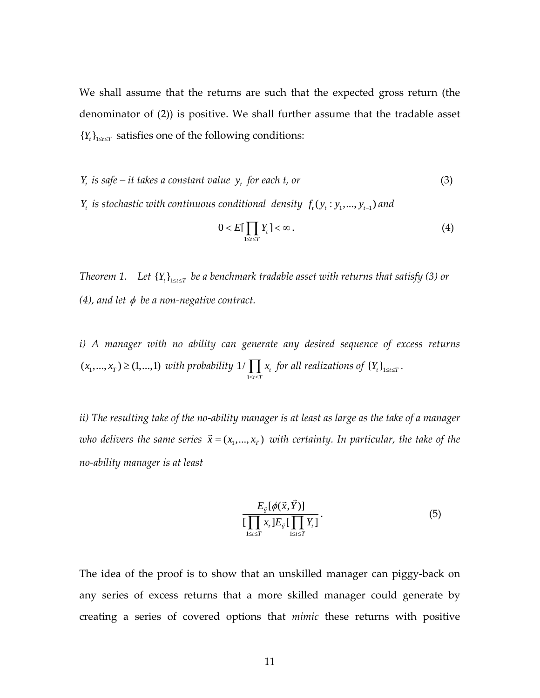We shall assume that the returns are such that the expected gross return (the denominator of (2)) is positive. We shall further assume that the tradable asset  ${Y_t }_{1 \le t \le T}$  satisfies one of the following conditions:

*Y<sub>t</sub>* is safe – it takes a constant value  $y_t$  for each *t*, or (3) *Y<sub>t</sub> is stochastic with continuous conditional density*  $f_t(y_t : y_1, ..., y_{t-1})$  *and* 

$$
0 < E[\prod_{1 \le t \le T} Y_t] < \infty \,. \tag{4}
$$

*Theorem* 1. Let  ${Y_t}_{1 \le t \le T}$  be a benchmark *tradable* asset *with returns that satisfy* (3) or *(4), and let*  $\phi$  *be a non-negative contract.* 

*i) A manager with no ability can generate any desired sequence of excess returns*   $(x_1, ..., x_T) \geq (1,...,1)$  *with probability* 1  $1/\prod x_i$  $t \leq T$ *x*  $\prod_{1 \leq t \leq T} x_t$  for all realizations of  $\{Y_t\}_{1 \leq t \leq T}$ .

ii) The resulting take of the no-ability manager is at least as large as the take of a manager *who delivers the same series*  $\vec{x} = (x_1, ..., x_T)$  *with certainty. In particular, the take of the no‐ability manager is at least*

$$
\frac{E_{\vec{Y}}[\phi(\vec{x}, \vec{Y})]}{\left[\prod_{1 \leq t \leq T} x_t \right] E_{\vec{Y}}[\prod_{1 \leq t \leq T} Y_t]}.
$$
\n(5)

The idea of the proof is to show that an unskilled manager can piggy‐back on any series of excess returns that a more skilled manager could generate by creating a series of covered options that *mimic* these returns with positive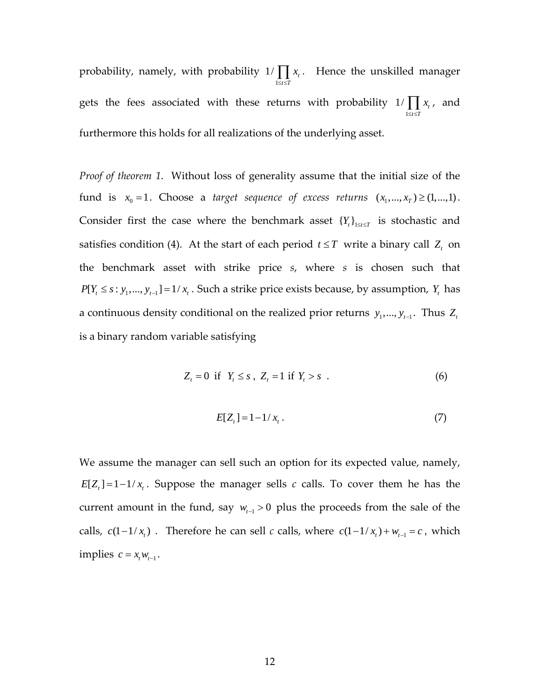probability, namely, with probability 1  $1/\prod x_i$  $t \leq T$ *x*  $\prod_{1 \leq i \leq T} x_i$ . Hence the unskilled manager gets the fees associated with these returns with probability 1  $1/\prod x_i$  $t \leq T$ *x*  $\prod_{1 \leq t \leq T} x_t$ , and furthermore this holds for all realizations of the underlying asset.

*Proof of theorem 1*. Without loss of generality assume that the initial size of the fund is  $x_0 = 1$ . Choose a *target sequence of excess returns*  $(x_1, ..., x_r) \geq (1,...,1)$ . Consider first the case where the benchmark asset  $\{Y_t\}_{1\leq t\leq T}$  is stochastic and satisfies condition (4). At the start of each period  $t \leq T$  write a binary call  $Z_t$  on the benchmark asset with strike price *s*, where *s* is chosen such that  $P[Y_t \leq s : y_1, ..., y_{t-1}] = 1/x_t$ . Such a strike price exists because, by assumption,  $Y_t$  has a continuous density conditional on the realized prior returns  $y_1, ..., y_{t-1}$ . Thus  $Z_t$ is a binary random variable satisfying

$$
Z_t = 0 \quad \text{if} \quad Y_t \leq s \quad, \quad Z_t = 1 \quad \text{if} \quad Y_t > s \quad . \tag{6}
$$

$$
E[Z_t] = 1 - 1/x_t.
$$
 (7)

We assume the manager can sell such an option for its expected value, namely,  $E[Z_t] = 1 - 1/x_t$ . Suppose the manager sells *c* calls. To cover them he has the current amount in the fund, say  $w_{t-1} > 0$  plus the proceeds from the sale of the calls,  $c(1 - 1/x_t)$ . Therefore he can sell *c* calls, where  $c(1 - 1/x_t) + w_{t-1} = c$ , which implies  $c = x_{t} w_{t-1}$ .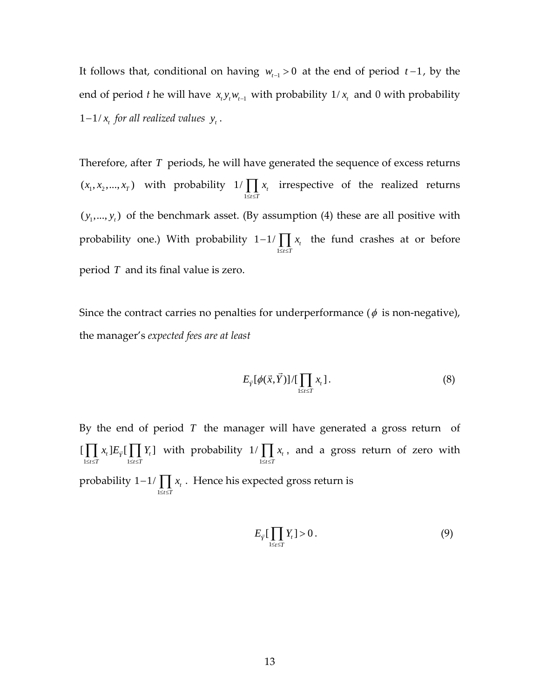It follows that, conditional on having  $w_{t-1} > 0$  at the end of period  $t-1$ , by the end of period *t* he will have  $x_t y_t w_{t-1}$  with probability  $1/x_t$  and 0 with probability 1-1/ $x_t$  for all realized values  $y_t$ .

Therefore, after *T* periods, he will have generated the sequence of excess returns  $(x_1, x_2, ..., x_T)$  with probability 1  $1/\prod x_t$  $t \leq T$ *x*  $\prod_{1 \leq t \leq T} x_t$  irrespective of the realized returns  $(y_1, ..., y_t)$  of the benchmark asset. (By assumption (4) these are all positive with probability one.) With probability 1  $1 - 1 / \prod x_t$  $t \leq T$ *x*  $-1/\prod_{1\leq i\leq T} x_i$  the fund crashes at or before period *T* and its final value is zero.

Since the contract carries no penalties for underperformance ( $\phi$  is non-negative), the manager's *expected fees are at least*

$$
E_{\vec{Y}}[\phi(\vec{x},\vec{Y})]/[\prod_{1\leq t\leq T}x_t].
$$
\n(8)

By the end of period  $T$  the manager will have generated a gross return of  $\left[\prod_{1 \leq t \leq T} x_t\right] E_{\vec{Y}}\left[\prod_{1 \leq t \leq T} Y_t\right]$  $x_{\epsilon}$   $E_{\vec{v}}$   $\Box Y_{\vec{v}}$  $\prod_{1 \leq t \leq T} x_t \cdot E_{\overline{Y}}\left[\prod_{1 \leq t \leq T} Y_t\right]$  with probability  $1/\prod_{1 \leq t \leq T}$  $1/\prod x_t$  $t \leq T$ *x*  $\prod_{1 \leq i \leq T} x_i$ , and a gross return of zero with probability 1  $1 - 1 / \prod x_i$  $t \leq T$ *x*  $-1/\prod_{1\leq i\leq T} x_i$ . Hence his expected gross return is

$$
E_{\bar{Y}}\left[\prod_{1\leq t\leq T}Y_t\right]>0\,. \tag{9}
$$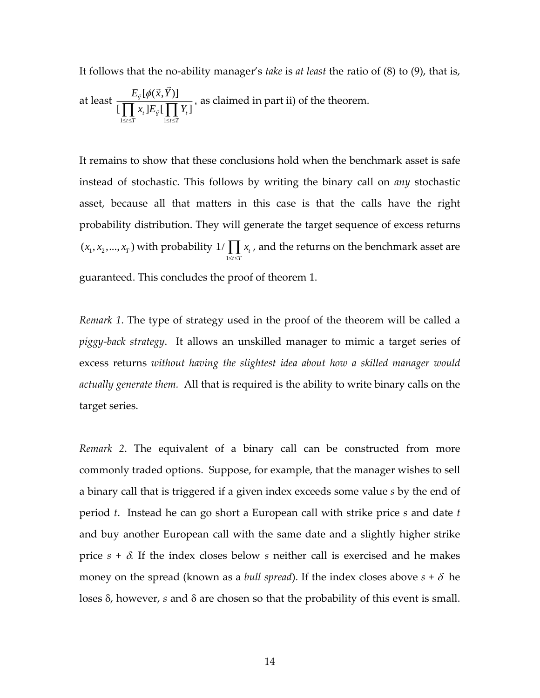It follows that the no‐ability manager's *take* is *at least* the ratio of (8) to (9), that is,

at least 
$$
\frac{E_{\vec{y}}[\phi(\vec{x}, \vec{Y})]}{\prod_{1 \leq i \leq T} x_i E_{\vec{y}}[\prod_{1 \leq i \leq T} Y_i]}
$$
, as claimed in part ii) of the theorem.

It remains to show that these conclusions hold when the benchmark asset is safe instead of stochastic. This follows by writing the binary call on *any* stochastic asset, because all that matters in this case is that the calls have the right probability distribution. They will generate the target sequence of excess returns  $(x_1, x_2, ..., x_T)$  with probability 1  $1/\prod x_i$  $t \leq T$ *x*  $\prod_{1\leq i\leq T} x_i$  , and the returns on the benchmark asset are guaranteed. This concludes the proof of theorem 1.

*Remark 1*. The type of strategy used in the proof of the theorem will be called a *piggy‐back strategy*. It allows an unskilled manager to mimic a target series of excess returns *without having the slightest idea about how a skilled manager would actually generate them.* All that is required is the ability to write binary calls on the target series.

*Remark 2*. The equivalent of a binary call can be constructed from more commonly traded options. Suppose, for example, that the manager wishes to sell a binary call that is triggered if a given index exceeds some value *s* by the end of period *t*. Instead he can go short a European call with strike price *s* and date *t* and buy another European call with the same date and a slightly higher strike price  $s + \delta$ . If the index closes below  $s$  neither call is exercised and he makes money on the spread (known as a *bull spread*). If the index closes above  $s + \delta$  he loses δ, however, *s* and δ are chosen so that the probability of this event is small.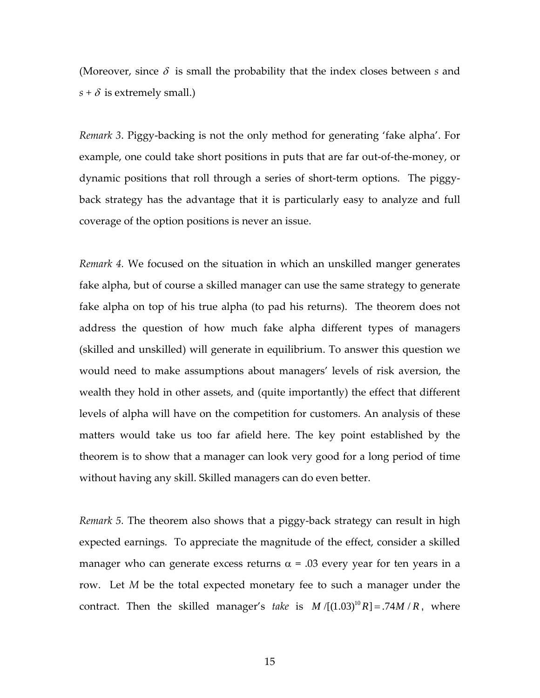(Moreover, since  $\delta$  is small the probability that the index closes between *s* and  $s + \delta$  is extremely small.)

*Remark 3*. Piggy‐backing is not the only method for generating 'fake alpha'. For example, one could take short positions in puts that are far out‐of‐the‐money, or dynamic positions that roll through a series of short-term options. The piggyback strategy has the advantage that it is particularly easy to analyze and full coverage of the option positions is never an issue.

*Remark 4.* We focused on the situation in which an unskilled manger generates fake alpha, but of course a skilled manager can use the same strategy to generate fake alpha on top of his true alpha (to pad his returns). The theorem does not address the question of how much fake alpha different types of managers (skilled and unskilled) will generate in equilibrium. To answer this question we would need to make assumptions about managers' levels of risk aversion, the wealth they hold in other assets, and (quite importantly) the effect that different levels of alpha will have on the competition for customers. An analysis of these matters would take us too far afield here. The key point established by the theorem is to show that a manager can look very good for a long period of time without having any skill. Skilled managers can do even better.

*Remark 5.* The theorem also shows that a piggy‐back strategy can result in high expected earnings. To appreciate the magnitude of the effect, consider a skilled manager who can generate excess returns  $\alpha$  = .03 every year for ten years in a row. Let *M* be the total expected monetary fee to such a manager under the contract. Then the skilled manager's *take* is  $M / [(1.03)^{10} R] = .74 M / R$ , where

15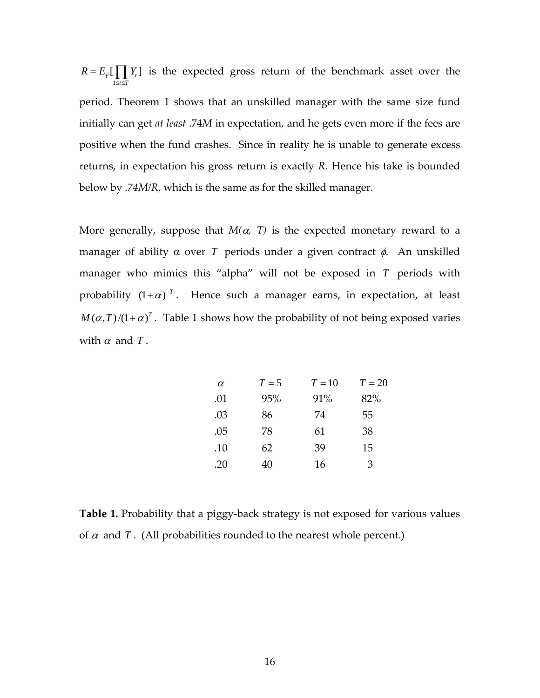$Y_{\vec{Y}}\left[\prod_{1\leq t\leq T} Y_t\right]$  $R = E_{\vec{v}}\begin{bmatrix} \phantom{a} \phantom{a} \end{bmatrix} Y$  $=E_{\vec{Y}}[\prod_{1\leq i\leq T}Y_i]$  is the expected gross return of the benchmark asset over the period. Theorem 1 shows that an unskilled manager with the same size fund initially can get *at least* .74*M* in expectation, and he gets even more if the fees are positive when the fund crashes. Since in reality he is unable to generate excess returns, in expectation his gross return is exactly *R*. Hence his take is bounded below by *.74M/R*, which is the same as for the skilled manager.

More generally, suppose that  $M(\alpha, T)$  is the expected monetary reward to a manager of ability  $\alpha$  over *T* periods under a given contract  $\phi$ . An unskilled manager who mimics this "alpha" will not be exposed in *T* periods with probability  $(1 + \alpha)^{-T}$ . Hence such a manager earns, in expectation, at least  $M(\alpha, T)/(1+\alpha)^T$ . Table 1 shows how the probability of not being exposed varies with  $\alpha$  and  $T$ .

| $\alpha$ | $T=5$ | $T = 10$ | $T=20$ |
|----------|-------|----------|--------|
| .01      | 95%   | 91%      | 82%    |
| .03      | 86    | 74       | 55     |
| .05      | 78    | 61       | 38     |
| .10      | 62    | 39       | 15     |
| .20      | 40    | 16       | 3      |

**Table 1.** Probability that a piggy-back strategy is not exposed for various values of  $\alpha$  and  $T$ . (All probabilities rounded to the nearest whole percent.)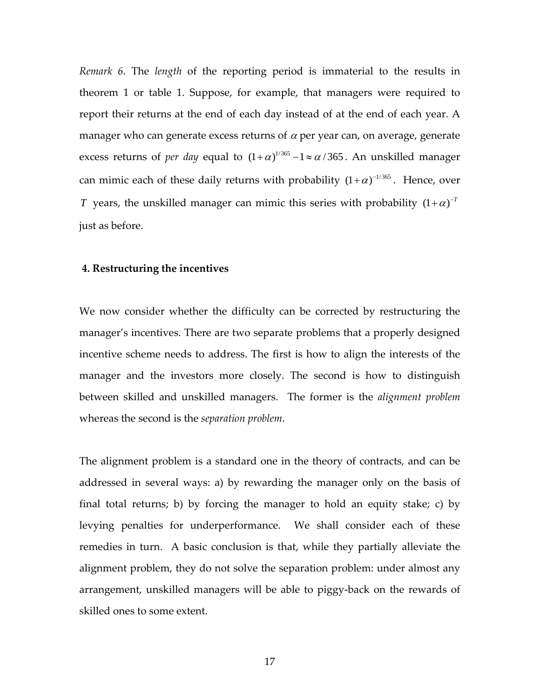*Remark 6*. The *length* of the reporting period is immaterial to the results in theorem 1 or table 1. Suppose, for example, that managers were required to report their returns at the end of each day instead of at the end of each year. A manager who can generate excess returns of  $\alpha$  per year can, on average, generate excess returns of *per day* equal to  $(1+\alpha)^{1/365} - 1 \approx \alpha/365$ . An unskilled manager can mimic each of these daily returns with probability  $(1+\alpha)^{-1/365}$ . Hence, over *T* years, the unskilled manager can mimic this series with probability  $(1 + \alpha)^{-T}$ just as before.

### **4. Restructuring the incentives**

We now consider whether the difficulty can be corrected by restructuring the manager's incentives. There are two separate problems that a properly designed incentive scheme needs to address. The first is how to align the interests of the manager and the investors more closely. The second is how to distinguish between skilled and unskilled managers. The former is the *alignment problem* whereas the second is the *separation problem*.

The alignment problem is a standard one in the theory of contracts, and can be addressed in several ways: a) by rewarding the manager only on the basis of final total returns; b) by forcing the manager to hold an equity stake; c) by levying penalties for underperformance. We shall consider each of these remedies in turn. A basic conclusion is that, while they partially alleviate the alignment problem, they do not solve the separation problem: under almost any arrangement, unskilled managers will be able to piggy‐back on the rewards of skilled ones to some extent.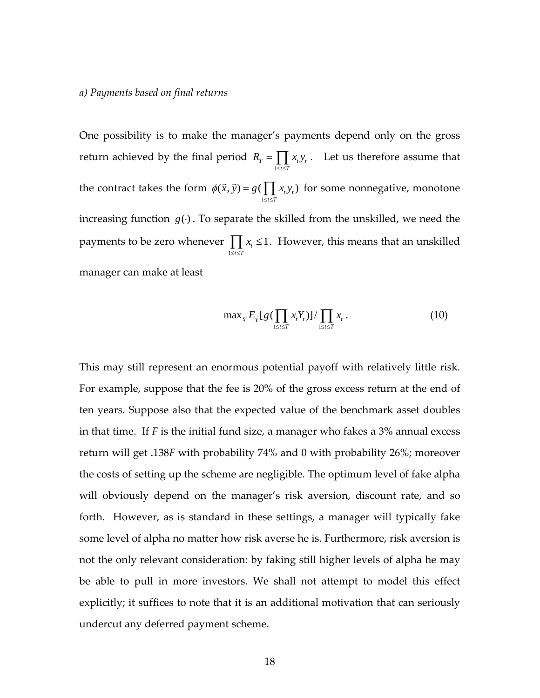#### *a) Payments based on final returns*

One possibility is to make the manager's payments depend only on the gross return achieved by the final period 1  $T = \prod_i \lambda_t y_t$  $t \leq T$  $R_r = \prod x_i y$  $=\prod_{1\leq t\leq T} x_{t}y_{t}$ . Let us therefore assume that the contract takes the form 1  $(\vec{x}, \vec{y}) = g(\prod x_t y_t)$  $t \leq T$  $\phi(\vec{x}, \vec{y}) = g(\prod x_i y_i)$  $(\vec{x}, \vec{y}) = g(\prod_{1 \leq i \leq T} x_i y_i)$  for some nonnegative, monotone increasing function  $g(·)$ . To separate the skilled from the unskilled, we need the payments to be zero whenever 1  $\frac{1}{t} \leq 1$  $t \leq T$ *x*  $\prod_{1 \leq i \leq T} x_i \leq 1$ . However, this means that an unskilled manager can make at least

$$
\max_{\vec{x}} E_{\vec{Y}}[g(\prod_{1 \leq t \leq T} x_t Y_t)] / \prod_{1 \leq t \leq T} x_t.
$$
 (10)

This may still represent an enormous potential payoff with relatively little risk. For example, suppose that the fee is 20% of the gross excess return at the end of ten years. Suppose also that the expected value of the benchmark asset doubles in that time. If *F* is the initial fund size, a manager who fakes a 3% annual excess return will get .138*F* with probability 74% and 0 with probability 26%; moreover the costs of setting up the scheme are negligible. The optimum level of fake alpha will obviously depend on the manager's risk aversion, discount rate, and so forth. However, as is standard in these settings, a manager will typically fake some level of alpha no matter how risk averse he is. Furthermore, risk aversion is not the only relevant consideration: by faking still higher levels of alpha he may be able to pull in more investors. We shall not attempt to model this effect explicitly; it suffices to note that it is an additional motivation that can seriously undercut any deferred payment scheme.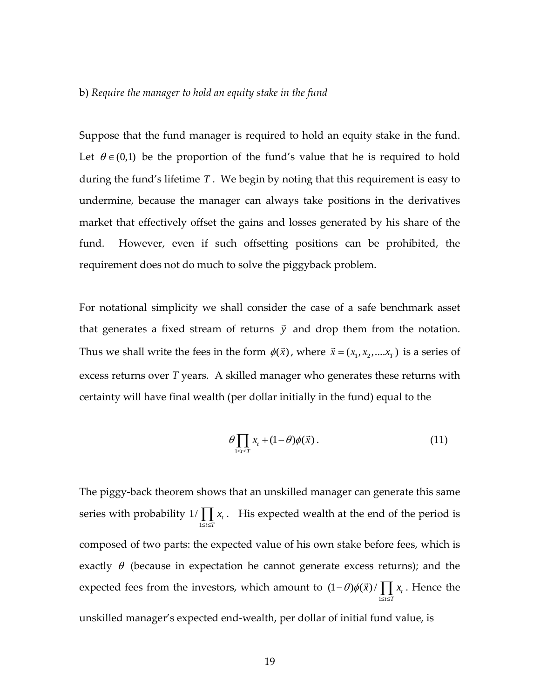#### b) *Require the manager to hold an equity stake in the fund*

Suppose that the fund manager is required to hold an equity stake in the fund. Let  $\theta \in (0,1)$  be the proportion of the fund's value that he is required to hold during the fund's lifetime *T* . We begin by noting that this requirement is easy to undermine, because the manager can always take positions in the derivatives market that effectively offset the gains and losses generated by his share of the fund. However, even if such offsetting positions can be prohibited, the requirement does not do much to solve the piggyback problem.

For notational simplicity we shall consider the case of a safe benchmark asset that generates a fixed stream of returns  $\vec{y}$  and drop them from the notation. Thus we shall write the fees in the form  $\phi(\vec{x})$ , where  $\vec{x} = (x_1, x_2, ..., x_T)$  is a series of excess returns over *T* years. A skilled manager who generates these returns with certainty will have final wealth (per dollar initially in the fund) equal to the

$$
\theta \prod_{1 \leq t \leq T} x_t + (1 - \theta) \phi(\vec{x}). \tag{11}
$$

The piggy‐back theorem shows that an unskilled manager can generate this same series with probability 1  $1/\prod x_{t}$  $t \leq T$ *x*  $\prod_{1 \leq i \leq T} x_i$ . His expected wealth at the end of the period is composed of two parts: the expected value of his own stake before fees, which is exactly  $\theta$  (because in expectation he cannot generate excess returns); and the expected fees from the investors, which amount to 1  $(1 - \theta) \phi(\vec{x}) / \prod x_t$  $t \leq T$  $\theta$ ) $\phi(\vec{x})$  /  $\parallel$  x  $(-\theta)\phi(\vec{x})/\prod_{1\leq i\leq T}x_i$ . Hence the unskilled manager's expected end‐wealth, per dollar of initial fund value, is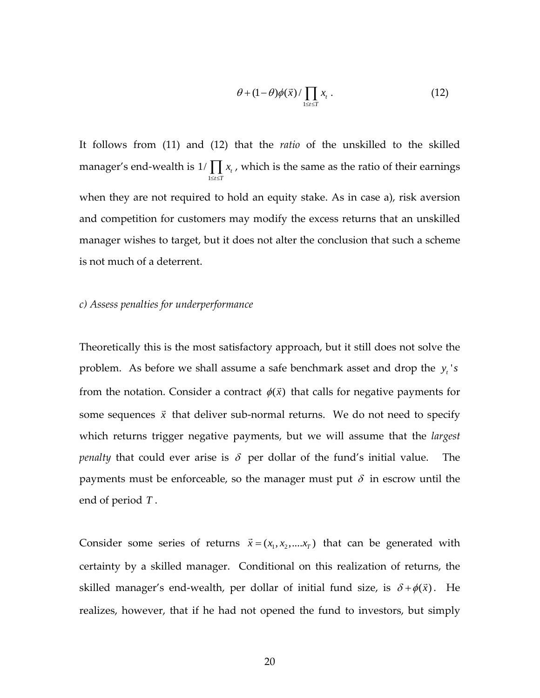$$
\theta + (1 - \theta)\phi(\vec{x}) / \prod_{1 \leq t \leq T} x_t \,. \tag{12}
$$

It follows from (11) and (12) that the *ratio* of the unskilled to the skilled manager's end‐wealth is 1  $1/\prod x_{t}$  $t \leq T$ *x*  $\prod_{1 \leq i \leq T} x_i$ , which is the same as the ratio of their earnings when they are not required to hold an equity stake. As in case a), risk aversion and competition for customers may modify the excess returns that an unskilled manager wishes to target, but it does not alter the conclusion that such a scheme is not much of a deterrent.

### *c) Assess penalties for underperformance*

Theoretically this is the most satisfactory approach, but it still does not solve the problem. As before we shall assume a safe benchmark asset and drop the  $y_t$ 's from the notation. Consider a contract  $\phi(\vec{x})$  that calls for negative payments for some sequences  $\vec{x}$  that deliver sub-normal returns. We do not need to specify which returns trigger negative payments, but we will assume that the *largest penalty* that could ever arise is  $\delta$  per dollar of the fund's initial value. The payments must be enforceable, so the manager must put  $\delta$  in escrow until the end of period *T* .

Consider some series of returns  $\vec{x} = (x_1, x_2, \dots, x_T)$  that can be generated with certainty by a skilled manager. Conditional on this realization of returns, the skilled manager's end-wealth, per dollar of initial fund size, is  $\delta + \phi(\vec{x})$ . He realizes, however, that if he had not opened the fund to investors, but simply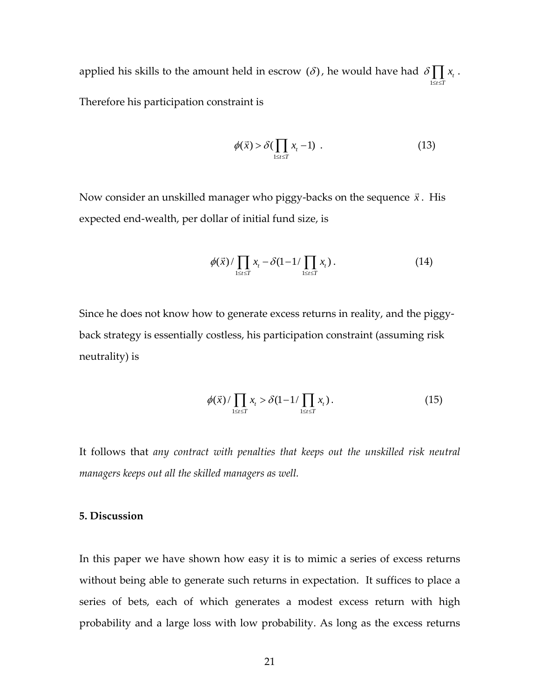applied his skills to the amount held in escrow  $(\delta)$ , he would have had 1 *t*  $t \leq T$ δ *x*  $\prod_{1\leq t\leq T} x_{_t}$  . Therefore his participation constraint is

$$
\phi(\vec{x}) > \delta(\prod_{1 \le t \le T} x_t - 1) \tag{13}
$$

Now consider an unskilled manager who piggy-backs on the sequence  $\vec{x}$ . His expected end‐wealth, per dollar of initial fund size, is

$$
\phi(\vec{x})/\prod_{1\leq t\leq T}x_{t}-\delta(1-1/\prod_{1\leq t\leq T}x_{t}).
$$
\n(14)

Since he does not know how to generate excess returns in reality, and the piggy‐ back strategy is essentially costless, his participation constraint (assuming risk neutrality) is

$$
\phi(\vec{x})/\prod_{1\leq t\leq T}x_t > \delta(1-1/\prod_{1\leq t\leq T}x_t).
$$
\n(15)

It follows that *any contract with penalties that keeps out the unskilled risk neutral managers keeps out all the skilled managers as well.*

# **5. Discussion**

In this paper we have shown how easy it is to mimic a series of excess returns without being able to generate such returns in expectation. It suffices to place a series of bets, each of which generates a modest excess return with high probability and a large loss with low probability. As long as the excess returns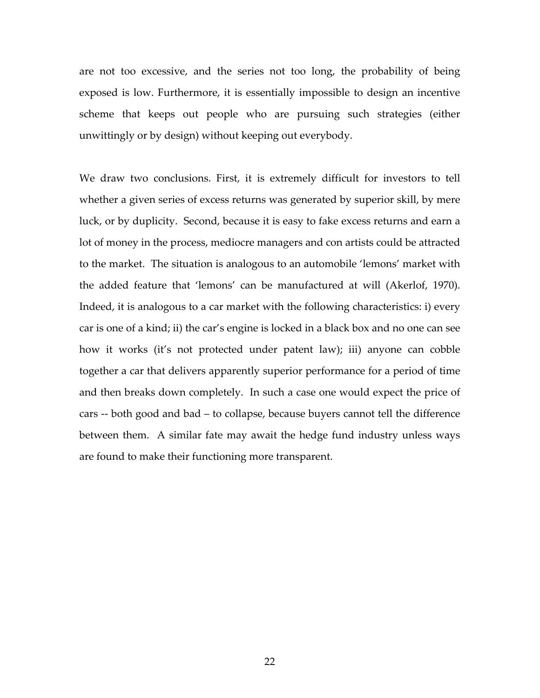are not too excessive, and the series not too long, the probability of being exposed is low. Furthermore, it is essentially impossible to design an incentive scheme that keeps out people who are pursuing such strategies (either unwittingly or by design) without keeping out everybody.

We draw two conclusions. First, it is extremely difficult for investors to tell whether a given series of excess returns was generated by superior skill, by mere luck, or by duplicity. Second, because it is easy to fake excess returns and earn a lot of money in the process, mediocre managers and con artists could be attracted to the market. The situation is analogous to an automobile 'lemons' market with the added feature that 'lemons' can be manufactured at will (Akerlof, 1970). Indeed, it is analogous to a car market with the following characteristics: i) every car is one of a kind; ii) the car's engine is locked in a black box and no one can see how it works (it's not protected under patent law); iii) anyone can cobble together a car that delivers apparently superior performance for a period of time and then breaks down completely. In such a case one would expect the price of cars ‐‐ both good and bad – to collapse, because buyers cannot tell the difference between them. A similar fate may await the hedge fund industry unless ways are found to make their functioning more transparent.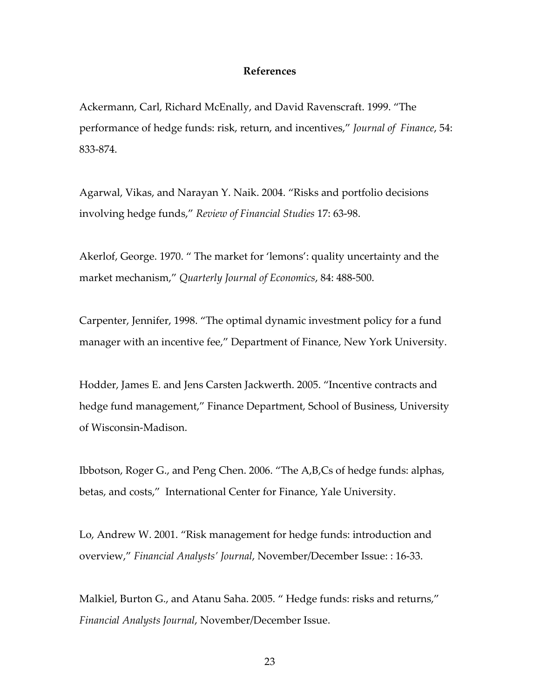### **References**

Ackermann, Carl, Richard McEnally, and David Ravenscraft. 1999. "The performance of hedge funds: risk, return, and incentives," *Journal of Finance*, 54: 833‐874.

Agarwal, Vikas, and Narayan Y. Naik. 2004. "Risks and portfolio decisions involving hedge funds," *Review of Financial Studies* 17: 63‐98.

Akerlof, George. 1970. " The market for 'lemons': quality uncertainty and the market mechanism," *Quarterly Journal of Economics*, 84: 488‐500.

Carpenter, Jennifer, 1998. "The optimal dynamic investment policy for a fund manager with an incentive fee," Department of Finance, New York University.

Hodder, James E. and Jens Carsten Jackwerth. 2005. "Incentive contracts and hedge fund management," Finance Department, School of Business, University of Wisconsin‐Madison.

Ibbotson, Roger G., and Peng Chen. 2006. "The A,B,Cs of hedge funds: alphas, betas, and costs," International Center for Finance, Yale University.

Lo, Andrew W. 2001. "Risk management for hedge funds: introduction and overview," *Financial Analysts' Journal*, November/December Issue: : 16‐33.

Malkiel, Burton G., and Atanu Saha. 2005. " Hedge funds: risks and returns," *Financial Analysts Journal*, November/December Issue.